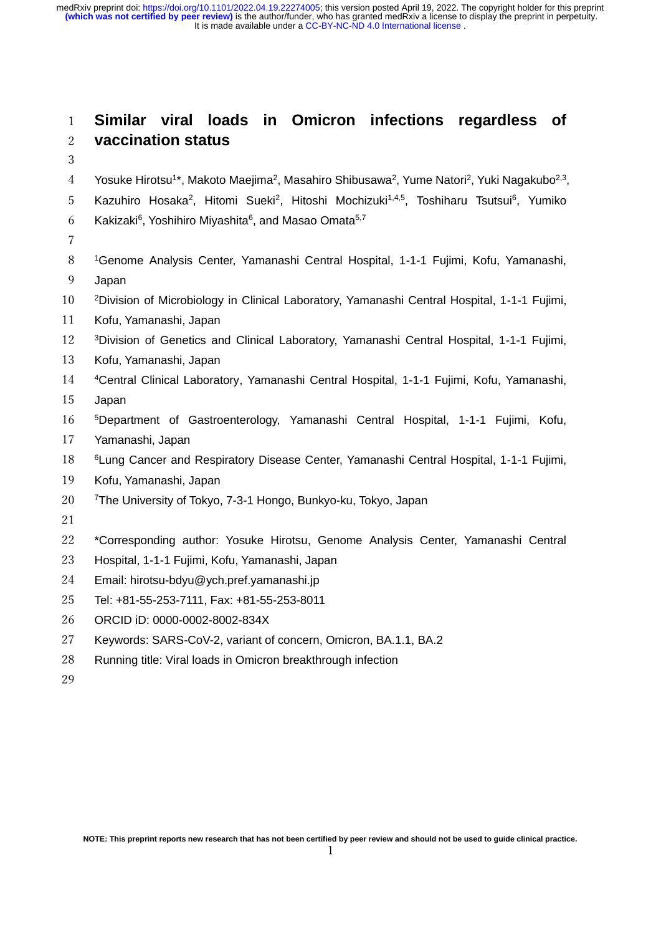It is made available under a [CC-BY-NC-ND 4.0 International license](http://creativecommons.org/licenses/by-nc-nd/4.0/) . **(which was not certified by peer review)** is the author/funder, who has granted medRxiv a license to display the preprint in perpetuity. medRxiv preprint doi: [https://doi.org/10.1101/2022.04.19.22274005;](https://doi.org/10.1101/2022.04.19.22274005) this version posted April 19, 2022. The copyright holder for this preprint

# **Similar viral loads in Omicron infections regardless of vaccination status**

4 Yosuke Hirotsu<sup>1\*</sup>, Makoto Maejima<sup>2</sup>, Masahiro Shibusawa<sup>2</sup>, Yume Natori<sup>2</sup>, Yuki Nagakubo<sup>2,3</sup>,

- 5 Kazuhiro Hosaka<sup>2</sup>, Hitomi Sueki<sup>2</sup>, Hitoshi Mochizuki<sup>1,4,5</sup>, Toshiharu Tsutsui<sup>6</sup>, Yumiko
- 6 Kakizaki<sup>6</sup>, Yoshihiro Miyashita<sup>6</sup>, and Masao Omata<sup>5,7</sup>
- 
- Genome Analysis Center, Yamanashi Central Hospital, 1-1-1 Fujimi, Kofu, Yamanashi, Japan
- <sup>2</sup>Division of Microbiology in Clinical Laboratory, Yamanashi Central Hospital, 1-1-1 Fujimi,
- Kofu, Yamanashi, Japan
- 12 <sup>3</sup>Division of Genetics and Clinical Laboratory, Yamanashi Central Hospital, 1-1-1 Fujimi,
- Kofu, Yamanashi, Japan
- <sup>4</sup>Central Clinical Laboratory, Yamanashi Central Hospital, 1-1-1 Fujimi, Kofu, Yamanashi,
- Japan
- <sup>5</sup>Department of Gastroenterology, Yamanashi Central Hospital, 1-1-1 Fujimi, Kofu,
- Yamanashi, Japan
- **6 Eung Cancer and Respiratory Disease Center, Yamanashi Central Hospital, 1-1-1 Fujimi,**
- Kofu, Yamanashi, Japan
- 20 <sup>7</sup> The University of Tokyo, 7-3-1 Hongo, Bunkyo-ku, Tokyo, Japan
- 
- \*Corresponding author: Yosuke Hirotsu, Genome Analysis Center, Yamanashi Central
- Hospital, 1-1-1 Fujimi, Kofu, Yamanashi, Japan
- Email: hirotsu-bdyu@ych.pref.yamanashi.jp
- Tel: +81-55-253-7111, Fax: +81-55-253-8011
- ORCID iD: 0000-0002-8002-834X
- Keywords: SARS-CoV-2, variant of concern, Omicron, BA.1.1, BA.2
- Running title: Viral loads in Omicron breakthrough infection
-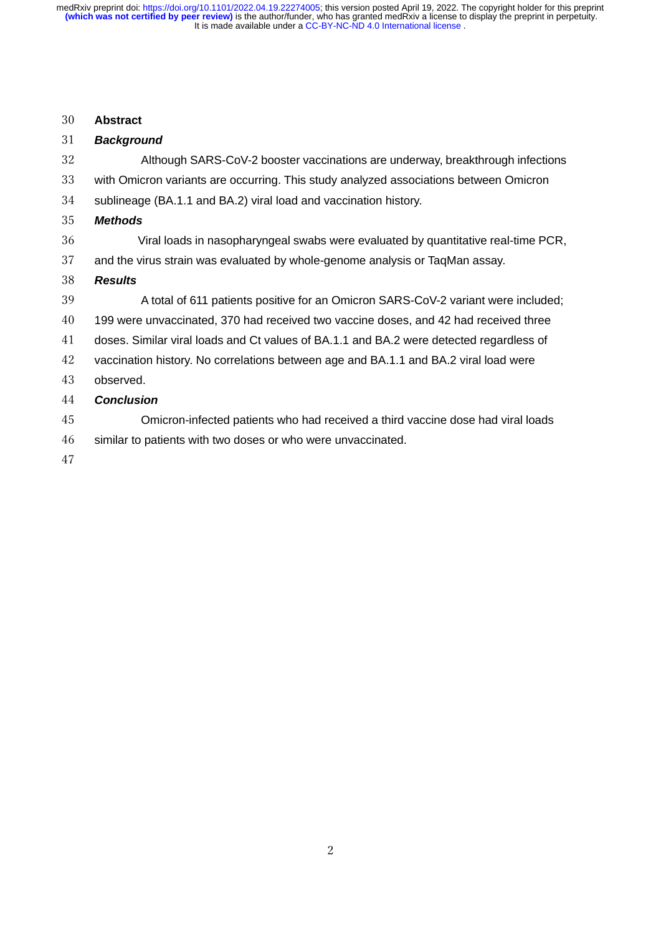## **Abstract**

| 31 | <b>Background</b>                                                                       |
|----|-----------------------------------------------------------------------------------------|
| 32 | Although SARS-CoV-2 booster vaccinations are underway, breakthrough infections          |
| 33 | with Omicron variants are occurring. This study analyzed associations between Omicron   |
| 34 | sublineage (BA.1.1 and BA.2) viral load and vaccination history.                        |
| 35 | <b>Methods</b>                                                                          |
| 36 | Viral loads in nasopharyngeal swabs were evaluated by quantitative real-time PCR,       |
| 37 | and the virus strain was evaluated by whole-genome analysis or TaqMan assay.            |
| 38 | <b>Results</b>                                                                          |
| 39 | A total of 611 patients positive for an Omicron SARS-CoV-2 variant were included;       |
| 40 | 199 were unvaccinated, 370 had received two vaccine doses, and 42 had received three    |
| 41 | doses. Similar viral loads and Ct values of BA.1.1 and BA.2 were detected regardless of |
| 42 | vaccination history. No correlations between age and BA.1.1 and BA.2 viral load were    |
| 43 | observed.                                                                               |
| 44 | <b>Conclusion</b>                                                                       |
| 45 | Omicron-infected patients who had received a third vaccine dose had viral loads         |
| 46 | similar to patients with two doses or who were unvaccinated.                            |
| 47 |                                                                                         |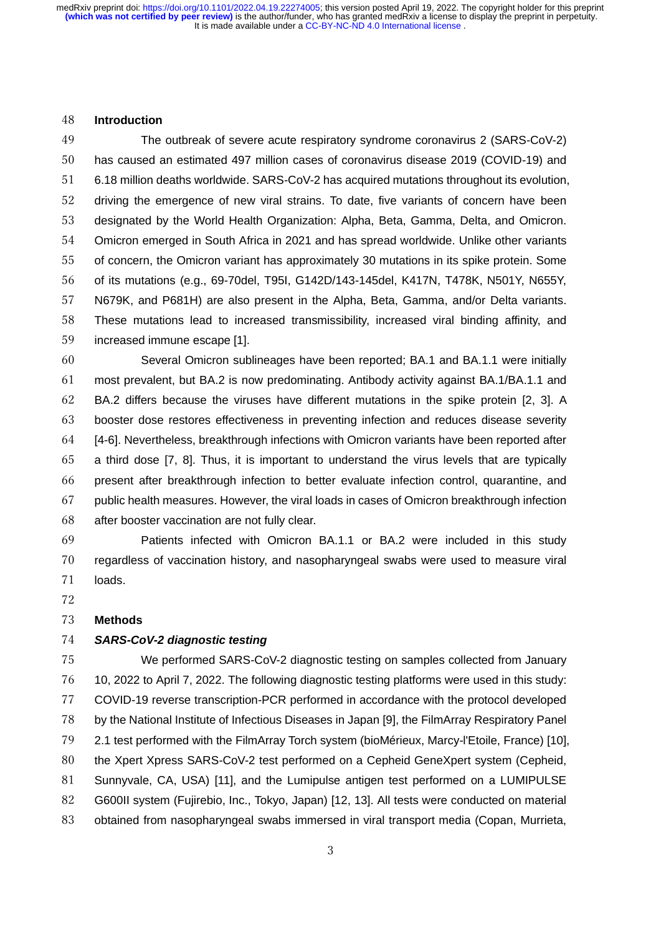#### **Introduction**

 The outbreak of severe acute respiratory syndrome coronavirus 2 (SARS-CoV-2) has caused an estimated 497 million cases of coronavirus disease 2019 (COVID-19) and 6.18 million deaths worldwide. SARS-CoV-2 has acquired mutations throughout its evolution, driving the emergence of new viral strains. To date, five variants of concern have been designated by the World Health Organization: Alpha, Beta, Gamma, Delta, and Omicron. Omicron emerged in South Africa in 2021 and has spread worldwide. Unlike other variants of concern, the Omicron variant has approximately 30 mutations in its spike protein. Some of its mutations (e.g., 69-70del, T95I, G142D/143-145del, K417N, T478K, N501Y, N655Y, N679K, and P681H) are also present in the Alpha, Beta, Gamma, and/or Delta variants. These mutations lead to increased transmissibility, increased viral binding affinity, and increased immune escape [1].

 Several Omicron sublineages have been reported; BA.1 and BA.1.1 were initially most prevalent, but BA.2 is now predominating. Antibody activity against BA.1/BA.1.1 and BA.2 differs because the viruses have different mutations in the spike protein [2, 3]. A booster dose restores effectiveness in preventing infection and reduces disease severity [4-6]. Nevertheless, breakthrough infections with Omicron variants have been reported after a third dose [7, 8]. Thus, it is important to understand the virus levels that are typically present after breakthrough infection to better evaluate infection control, quarantine, and public health measures. However, the viral loads in cases of Omicron breakthrough infection after booster vaccination are not fully clear.

 Patients infected with Omicron BA.1.1 or BA.2 were included in this study regardless of vaccination history, and nasopharyngeal swabs were used to measure viral loads.

#### **Methods**

#### *SARS-CoV-2 diagnostic testing*

 We performed SARS-CoV-2 diagnostic testing on samples collected from January 10, 2022 to April 7, 2022. The following diagnostic testing platforms were used in this study: COVID-19 reverse transcription-PCR performed in accordance with the protocol developed by the National Institute of Infectious Diseases in Japan [9], the FilmArray Respiratory Panel 2.1 test performed with the FilmArray Torch system (bioMérieux, Marcy-l'Etoile, France) [10], the Xpert Xpress SARS-CoV-2 test performed on a Cepheid GeneXpert system (Cepheid, Sunnyvale, CA, USA) [11], and the Lumipulse antigen test performed on a LUMIPULSE G600II system (Fujirebio, Inc., Tokyo, Japan) [12, 13]. All tests were conducted on material obtained from nasopharyngeal swabs immersed in viral transport media (Copan, Murrieta,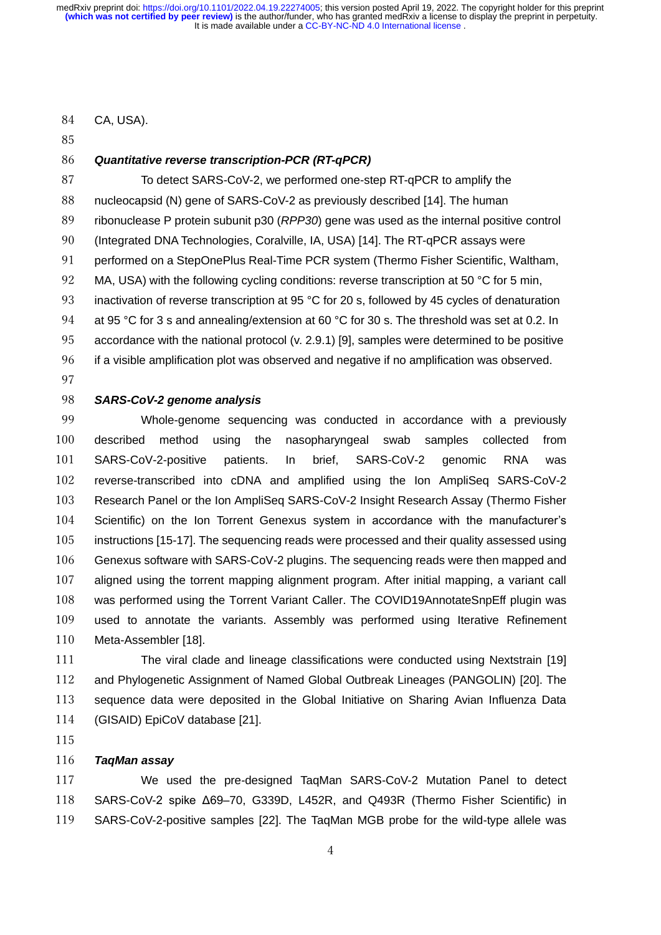CA, USA).

# *Quantitative reverse transcription-PCR (RT-qPCR)*

 To detect SARS-CoV-2, we performed one-step RT-qPCR to amplify the nucleocapsid (N) gene of SARS-CoV-2 as previously described [14]. The human ribonuclease P protein subunit p30 (*RPP30*) gene was used as the internal positive control (Integrated DNA Technologies, Coralville, IA, USA) [14]. The RT-qPCR assays were 91 performed on a StepOnePlus Real-Time PCR system (Thermo Fisher Scientific, Waltham, 92 MA, USA) with the following cycling conditions: reverse transcription at 50 °C for 5 min, 93 inactivation of reverse transcription at 95 °C for 20 s, followed by 45 cycles of denaturation 94 at 95 °C for 3 s and annealing/extension at 60 °C for 30 s. The threshold was set at 0.2. In accordance with the national protocol (v. 2.9.1) [9], samples were determined to be positive if a visible amplification plot was observed and negative if no amplification was observed.

#### *SARS-CoV-2 genome analysis*

 Whole-genome sequencing was conducted in accordance with a previously described method using the nasopharyngeal swab samples collected from SARS-CoV-2-positive patients. In brief, SARS-CoV-2 genomic RNA was reverse-transcribed into cDNA and amplified using the Ion AmpliSeq SARS-CoV-2 Research Panel or the Ion AmpliSeq SARS-CoV-2 Insight Research Assay (Thermo Fisher Scientific) on the Ion Torrent Genexus system in accordance with the manufacturer's instructions [15-17]. The sequencing reads were processed and their quality assessed using Genexus software with SARS-CoV-2 plugins. The sequencing reads were then mapped and aligned using the torrent mapping alignment program. After initial mapping, a variant call was performed using the Torrent Variant Caller. The COVID19AnnotateSnpEff plugin was used to annotate the variants. Assembly was performed using Iterative Refinement Meta-Assembler [18].

 The viral clade and lineage classifications were conducted using Nextstrain [19] and Phylogenetic Assignment of Named Global Outbreak Lineages (PANGOLIN) [20]. The sequence data were deposited in the Global Initiative on Sharing Avian Influenza Data (GISAID) EpiCoV database [21].

# *TaqMan assay*

 We used the pre-designed TaqMan SARS-CoV-2 Mutation Panel to detect SARS-CoV-2 spike Δ69–70, G339D, L452R, and Q493R (Thermo Fisher Scientific) in SARS-CoV-2-positive samples [22]. The TaqMan MGB probe for the wild-type allele was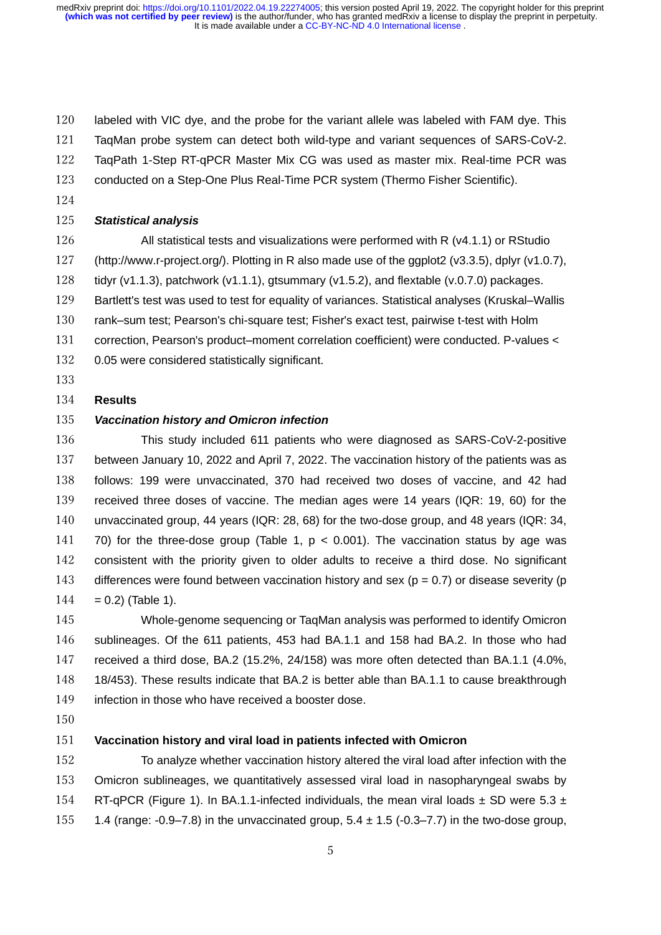labeled with VIC dye, and the probe for the variant allele was labeled with FAM dye. This TaqMan probe system can detect both wild-type and variant sequences of SARS-CoV-2. TaqPath 1-Step RT-qPCR Master Mix CG was used as master mix. Real-time PCR was conducted on a Step-One Plus Real-Time PCR system (Thermo Fisher Scientific).

## *Statistical analysis*

 All statistical tests and visualizations were performed with R (v4.1.1) or RStudio (http://www.r-project.org/). Plotting in R also made use of the ggplot2 (v3.3.5), dplyr (v1.0.7), tidyr (v1.1.3), patchwork (v1.1.1), gtsummary (v1.5.2), and flextable (v.0.7.0) packages. 129 Bartlett's test was used to test for equality of variances. Statistical analyses (Kruskal–Wallis rank–sum test; Pearson's chi-square test; Fisher's exact test, pairwise t-test with Holm correction, Pearson's product–moment correlation coefficient) were conducted. P-values < 0.05 were considered statistically significant.

## **Results**

# *Vaccination history and Omicron infection*

 This study included 611 patients who were diagnosed as SARS-CoV-2-positive between January 10, 2022 and April 7, 2022. The vaccination history of the patients was as follows: 199 were unvaccinated, 370 had received two doses of vaccine, and 42 had received three doses of vaccine. The median ages were 14 years (IQR: 19, 60) for the unvaccinated group, 44 years (IQR: 28, 68) for the two-dose group, and 48 years (IQR: 34, 141 70) for the three-dose group (Table 1,  $p < 0.001$ ). The vaccination status by age was consistent with the priority given to older adults to receive a third dose. No significant 143 differences were found between vaccination history and sex ( $p = 0.7$ ) or disease severity ( $p$ )  $144 = 0.2$  (Table 1).

 Whole-genome sequencing or TaqMan analysis was performed to identify Omicron sublineages. Of the 611 patients, 453 had BA.1.1 and 158 had BA.2. In those who had received a third dose, BA.2 (15.2%, 24/158) was more often detected than BA.1.1 (4.0%, 18/453). These results indicate that BA.2 is better able than BA.1.1 to cause breakthrough 149 infection in those who have received a booster dose.

#### **Vaccination history and viral load in patients infected with Omicron**

 To analyze whether vaccination history altered the viral load after infection with the Omicron sublineages, we quantitatively assessed viral load in nasopharyngeal swabs by 154 RT-qPCR (Figure 1). In BA.1.1-infected individuals, the mean viral loads  $\pm$  SD were 5.3  $\pm$ 155 1.4 (range:  $-0.9-7.8$ ) in the unvaccinated group,  $5.4 \pm 1.5$  ( $-0.3-7.7$ ) in the two-dose group,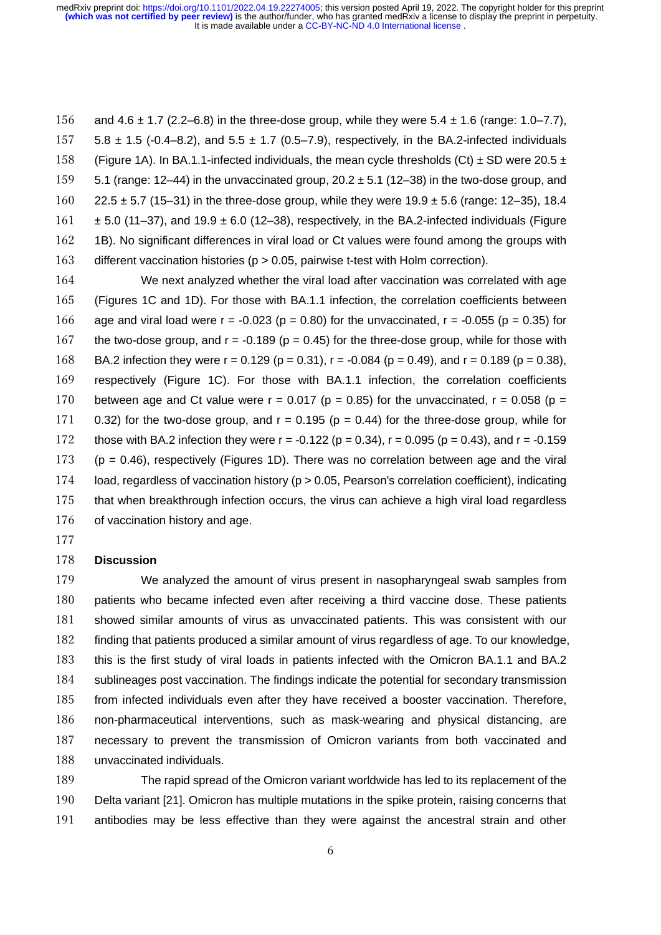156 and  $4.6 \pm 1.7$  (2.2–6.8) in the three-dose group, while they were  $5.4 \pm 1.6$  (range: 1.0–7.7), 157 5.8  $\pm$  1.5 (-0.4–8.2), and 5.5  $\pm$  1.7 (0.5–7.9), respectively, in the BA.2-infected individuals 158 (Figure 1A). In BA.1.1-infected individuals, the mean cycle thresholds (Ct)  $\pm$  SD were 20.5  $\pm$ 159  $5.1$  (range: 12–44) in the unvaccinated group,  $20.2 \pm 5.1$  (12–38) in the two-dose group, and 160 22.5  $\pm$  5.7 (15–31) in the three-dose group, while they were 19.9  $\pm$  5.6 (range: 12–35), 18.4  $161 \pm 5.0$  (11–37), and 19.9  $\pm$  6.0 (12–38), respectively, in the BA.2-infected individuals (Figure 162 1B). No significant differences in viral load or Ct values were found among the groups with 163 different vaccination histories (p > 0.05, pairwise t-test with Holm correction).

164 We next analyzed whether the viral load after vaccination was correlated with age 165 (Figures 1C and 1D). For those with BA.1.1 infection, the correlation coefficients between 166 age and viral load were  $r = -0.023$  ( $p = 0.80$ ) for the unvaccinated,  $r = -0.055$  ( $p = 0.35$ ) for 167 the two-dose group, and  $r = -0.189$  ( $p = 0.45$ ) for the three-dose group, while for those with 168 BA.2 infection they were  $r = 0.129$  (p = 0.31),  $r = -0.084$  (p = 0.49), and  $r = 0.189$  (p = 0.38), 169 respectively (Figure 1C). For those with BA.1.1 infection, the correlation coefficients 170 between age and Ct value were  $r = 0.017$  (p = 0.85) for the unvaccinated,  $r = 0.058$  (p = 171 0.32) for the two-dose group, and  $r = 0.195$  ( $p = 0.44$ ) for the three-dose group, while for 172 those with BA.2 infection they were  $r = -0.122$  ( $p = 0.34$ ),  $r = 0.095$  ( $p = 0.43$ ), and  $r = -0.159$ 173 (p = 0.46), respectively (Figures 1D). There was no correlation between age and the viral 174 load, regardless of vaccination history (p > 0.05, Pearson's correlation coefficient), indicating 175 that when breakthrough infection occurs, the virus can achieve a high viral load regardless 176 of vaccination history and age.

177

# 178 **Discussion**

 We analyzed the amount of virus present in nasopharyngeal swab samples from patients who became infected even after receiving a third vaccine dose. These patients showed similar amounts of virus as unvaccinated patients. This was consistent with our finding that patients produced a similar amount of virus regardless of age. To our knowledge, this is the first study of viral loads in patients infected with the Omicron BA.1.1 and BA.2 184 sublineages post vaccination. The findings indicate the potential for secondary transmission from infected individuals even after they have received a booster vaccination. Therefore, non-pharmaceutical interventions, such as mask-wearing and physical distancing, are necessary to prevent the transmission of Omicron variants from both vaccinated and unvaccinated individuals.

189 The rapid spread of the Omicron variant worldwide has led to its replacement of the 190 Delta variant [21]. Omicron has multiple mutations in the spike protein, raising concerns that 191 antibodies may be less effective than they were against the ancestral strain and other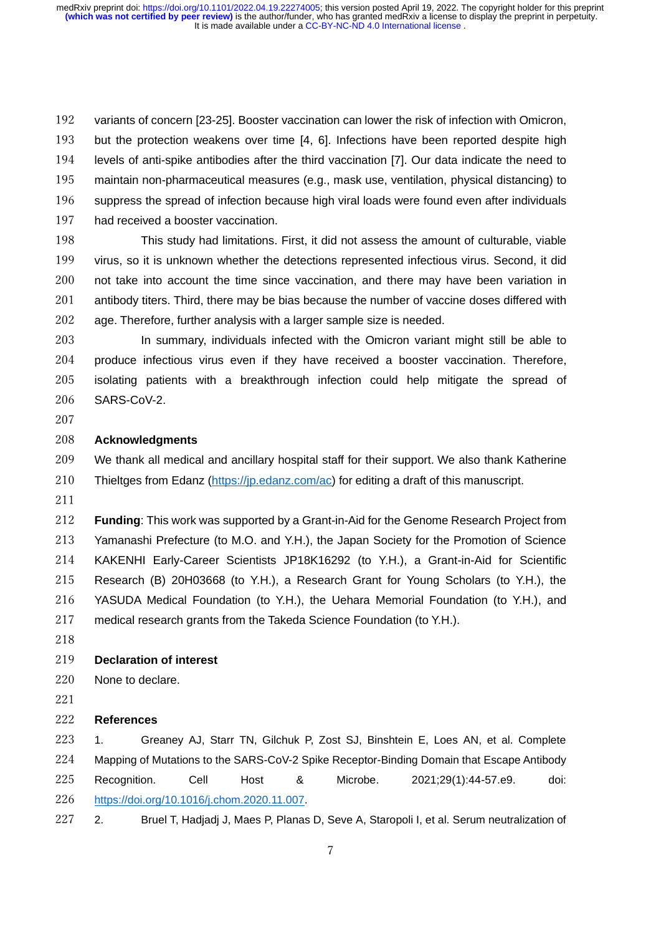variants of concern [23-25]. Booster vaccination can lower the risk of infection with Omicron, but the protection weakens over time [4, 6]. Infections have been reported despite high levels of anti-spike antibodies after the third vaccination [7]. Our data indicate the need to maintain non-pharmaceutical measures (e.g., mask use, ventilation, physical distancing) to suppress the spread of infection because high viral loads were found even after individuals had received a booster vaccination.

 This study had limitations. First, it did not assess the amount of culturable, viable virus, so it is unknown whether the detections represented infectious virus. Second, it did not take into account the time since vaccination, and there may have been variation in 201 antibody titers. Third, there may be bias because the number of vaccine doses differed with age. Therefore, further analysis with a larger sample size is needed.

 In summary, individuals infected with the Omicron variant might still be able to produce infectious virus even if they have received a booster vaccination. Therefore, isolating patients with a breakthrough infection could help mitigate the spread of SARS-CoV-2.

#### **Acknowledgments**

 We thank all medical and ancillary hospital staff for their support. We also thank Katherine Thieltges from Edanz [\(https://jp.edanz.com/ac\)](http://jp.edanz.com/ac) for editing a draft of this manuscript.

 **Funding**: This work was supported by a Grant-in-Aid for the Genome Research Project from Yamanashi Prefecture (to M.O. and Y.H.), the Japan Society for the Promotion of Science KAKENHI Early-Career Scientists JP18K16292 (to Y.H.), a Grant-in-Aid for Scientific Research (B) 20H03668 (to Y.H.), a Research Grant for Young Scholars (to Y.H.), the YASUDA Medical Foundation (to Y.H.), the Uehara Memorial Foundation (to Y.H.), and medical research grants from the Takeda Science Foundation (to Y.H.).

#### **Declaration of interest**

None to declare.

#### **References**

 1. Greaney AJ, Starr TN, Gilchuk P, Zost SJ, Binshtein E, Loes AN, et al. Complete Mapping of Mutations to the SARS-CoV-2 Spike Receptor-Binding Domain that Escape Antibody Recognition. Cell Host & Microbe. 2021;29(1):44-57.e9. doi: [https://doi.org/10.1016/j.chom.2020.11.007.](https://doi.org/10.1016/j.chom.2020.11.007)

2. Bruel T, Hadjadj J, Maes P, Planas D, Seve A, Staropoli I, et al. Serum neutralization of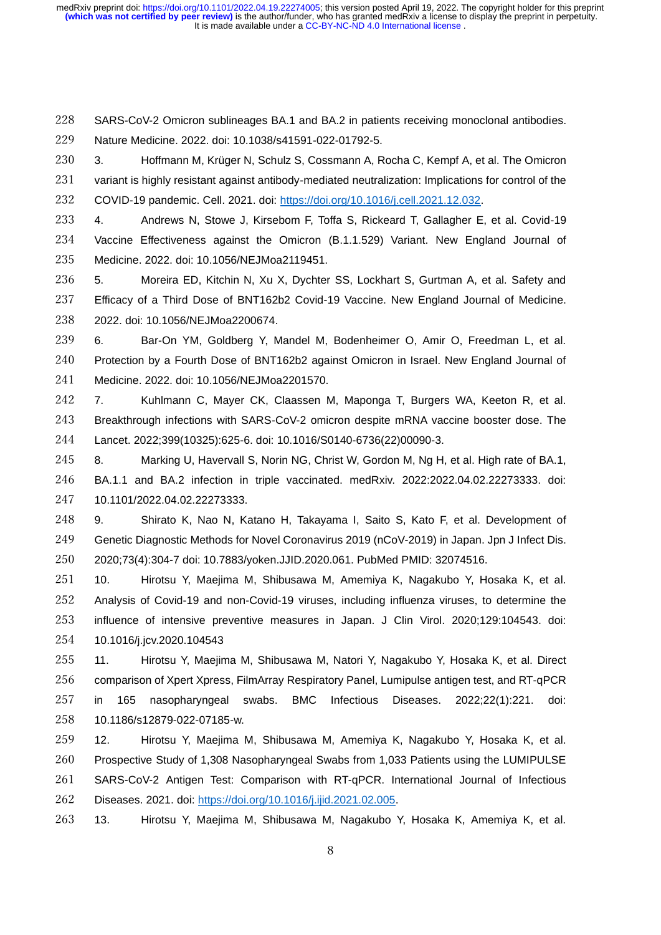SARS-CoV-2 Omicron sublineages BA.1 and BA.2 in patients receiving monoclonal antibodies. Nature Medicine. 2022. doi: 10.1038/s41591-022-01792-5.

 3. Hoffmann M, Krüger N, Schulz S, Cossmann A, Rocha C, Kempf A, et al. The Omicron 231 variant is highly resistant against antibody-mediated neutralization: Implications for control of the COVID-19 pandemic. Cell. 2021. doi: [https://doi.org/10.1016/j.cell.2021.12.032.](https://doi.org/10.1016/j.cell.2021.12.032)

 4. Andrews N, Stowe J, Kirsebom F, Toffa S, Rickeard T, Gallagher E, et al. Covid-19 Vaccine Effectiveness against the Omicron (B.1.1.529) Variant. New England Journal of Medicine. 2022. doi: 10.1056/NEJMoa2119451.

 5. Moreira ED, Kitchin N, Xu X, Dychter SS, Lockhart S, Gurtman A, et al. Safety and Efficacy of a Third Dose of BNT162b2 Covid-19 Vaccine. New England Journal of Medicine. 2022. doi: 10.1056/NEJMoa2200674.

 6. Bar-On YM, Goldberg Y, Mandel M, Bodenheimer O, Amir O, Freedman L, et al. Protection by a Fourth Dose of BNT162b2 against Omicron in Israel. New England Journal of Medicine. 2022. doi: 10.1056/NEJMoa2201570.

 7. Kuhlmann C, Mayer CK, Claassen M, Maponga T, Burgers WA, Keeton R, et al. Breakthrough infections with SARS-CoV-2 omicron despite mRNA vaccine booster dose. The Lancet. 2022;399(10325):625-6. doi: 10.1016/S0140-6736(22)00090-3.

 8. Marking U, Havervall S, Norin NG, Christ W, Gordon M, Ng H, et al. High rate of BA.1, BA.1.1 and BA.2 infection in triple vaccinated. medRxiv. 2022:2022.04.02.22273333. doi: 10.1101/2022.04.02.22273333.

 9. Shirato K, Nao N, Katano H, Takayama I, Saito S, Kato F, et al. Development of Genetic Diagnostic Methods for Novel Coronavirus 2019 (nCoV-2019) in Japan. Jpn J Infect Dis. 2020;73(4):304-7 doi: 10.7883/yoken.JJID.2020.061. PubMed PMID: 32074516.

 10. Hirotsu Y, Maejima M, Shibusawa M, Amemiya K, Nagakubo Y, Hosaka K, et al. Analysis of Covid-19 and non-Covid-19 viruses, including influenza viruses, to determine the influence of intensive preventive measures in Japan. J Clin Virol. 2020;129:104543. doi: 10.1016/j.jcv.2020.104543

 11. Hirotsu Y, Maejima M, Shibusawa M, Natori Y, Nagakubo Y, Hosaka K, et al. Direct comparison of Xpert Xpress, FilmArray Respiratory Panel, Lumipulse antigen test, and RT-qPCR in 165 nasopharyngeal swabs. BMC Infectious Diseases. 2022;22(1):221. doi: 10.1186/s12879-022-07185-w.

 12. Hirotsu Y, Maejima M, Shibusawa M, Amemiya K, Nagakubo Y, Hosaka K, et al. Prospective Study of 1,308 Nasopharyngeal Swabs from 1,033 Patients using the LUMIPULSE SARS-CoV-2 Antigen Test: Comparison with RT-qPCR. International Journal of Infectious Diseases. 2021. doi: [https://doi.org/10.1016/j.ijid.2021.02.005.](https://doi.org/10.1016/j.ijid.2021.02.005)

13. Hirotsu Y, Maejima M, Shibusawa M, Nagakubo Y, Hosaka K, Amemiya K, et al.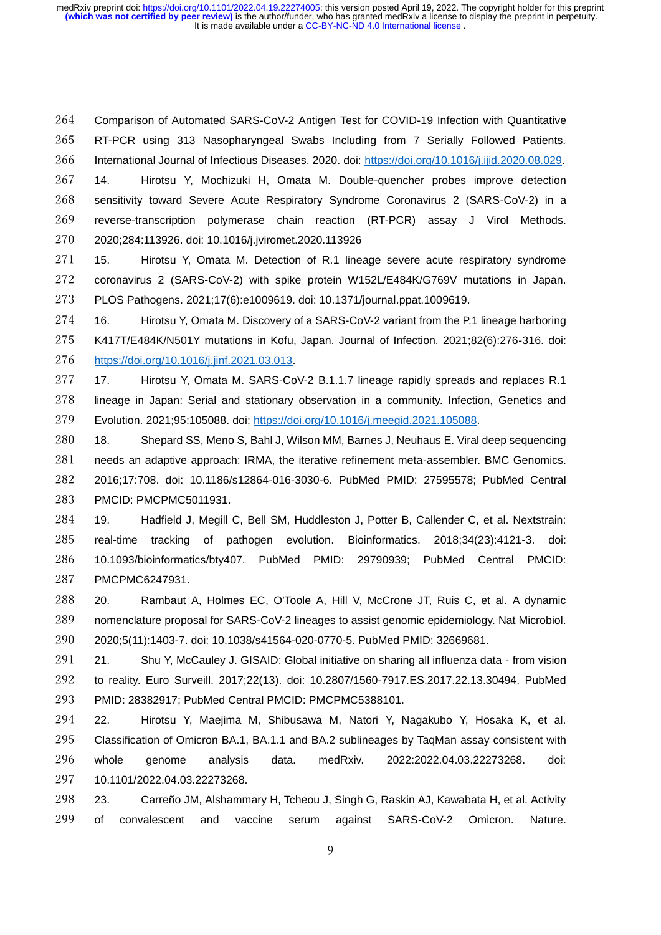Comparison of Automated SARS-CoV-2 Antigen Test for COVID-19 Infection with Quantitative RT-PCR using 313 Nasopharyngeal Swabs Including from 7 Serially Followed Patients. International Journal of Infectious Diseases. 2020. doi: [https://doi.org/10.1016/j.ijid.2020.08.029.](https://doi.org/10.1016/j.ijid.2020.08.029)

 14. Hirotsu Y, Mochizuki H, Omata M. Double-quencher probes improve detection sensitivity toward Severe Acute Respiratory Syndrome Coronavirus 2 (SARS-CoV-2) in a reverse-transcription polymerase chain reaction (RT-PCR) assay J Virol Methods. 2020;284:113926. doi: 10.1016/j.jviromet.2020.113926

 15. Hirotsu Y, Omata M. Detection of R.1 lineage severe acute respiratory syndrome coronavirus 2 (SARS-CoV-2) with spike protein W152L/E484K/G769V mutations in Japan. PLOS Pathogens. 2021;17(6):e1009619. doi: 10.1371/journal.ppat.1009619.

 16. Hirotsu Y, Omata M. Discovery of a SARS-CoV-2 variant from the P.1 lineage harboring K417T/E484K/N501Y mutations in Kofu, Japan. Journal of Infection. 2021;82(6):276-316. doi: [https://doi.org/10.1016/j.jinf.2021.03.013.](https://doi.org/10.1016/j.jinf.2021.03.013)

 17. Hirotsu Y, Omata M. SARS-CoV-2 B.1.1.7 lineage rapidly spreads and replaces R.1 lineage in Japan: Serial and stationary observation in a community. Infection, Genetics and Evolution. 2021;95:105088. doi: [https://doi.org/10.1016/j.meegid.2021.105088.](https://doi.org/10.1016/j.meegid.2021.105088)

 18. Shepard SS, Meno S, Bahl J, Wilson MM, Barnes J, Neuhaus E. Viral deep sequencing needs an adaptive approach: IRMA, the iterative refinement meta-assembler. BMC Genomics. 2016;17:708. doi: 10.1186/s12864-016-3030-6. PubMed PMID: 27595578; PubMed Central PMCID: PMCPMC5011931.

 19. Hadfield J, Megill C, Bell SM, Huddleston J, Potter B, Callender C, et al. Nextstrain: real-time tracking of pathogen evolution. Bioinformatics. 2018;34(23):4121-3. doi: 10.1093/bioinformatics/bty407. PubMed PMID: 29790939; PubMed Central PMCID: PMCPMC6247931.

 20. Rambaut A, Holmes EC, O'Toole A, Hill V, McCrone JT, Ruis C, et al. A dynamic nomenclature proposal for SARS-CoV-2 lineages to assist genomic epidemiology. Nat Microbiol. 2020;5(11):1403-7. doi: 10.1038/s41564-020-0770-5. PubMed PMID: 32669681.

 21. Shu Y, McCauley J. GISAID: Global initiative on sharing all influenza data - from vision to reality. Euro Surveill. 2017;22(13). doi: 10.2807/1560-7917.ES.2017.22.13.30494. PubMed PMID: 28382917; PubMed Central PMCID: PMCPMC5388101.

 22. Hirotsu Y, Maejima M, Shibusawa M, Natori Y, Nagakubo Y, Hosaka K, et al. Classification of Omicron BA.1, BA.1.1 and BA.2 sublineages by TaqMan assay consistent with whole genome analysis data. medRxiv. 2022:2022.04.03.22273268. doi: 10.1101/2022.04.03.22273268.

 23. Carreño JM, Alshammary H, Tcheou J, Singh G, Raskin AJ, Kawabata H, et al. Activity of convalescent and vaccine serum against SARS-CoV-2 Omicron. Nature.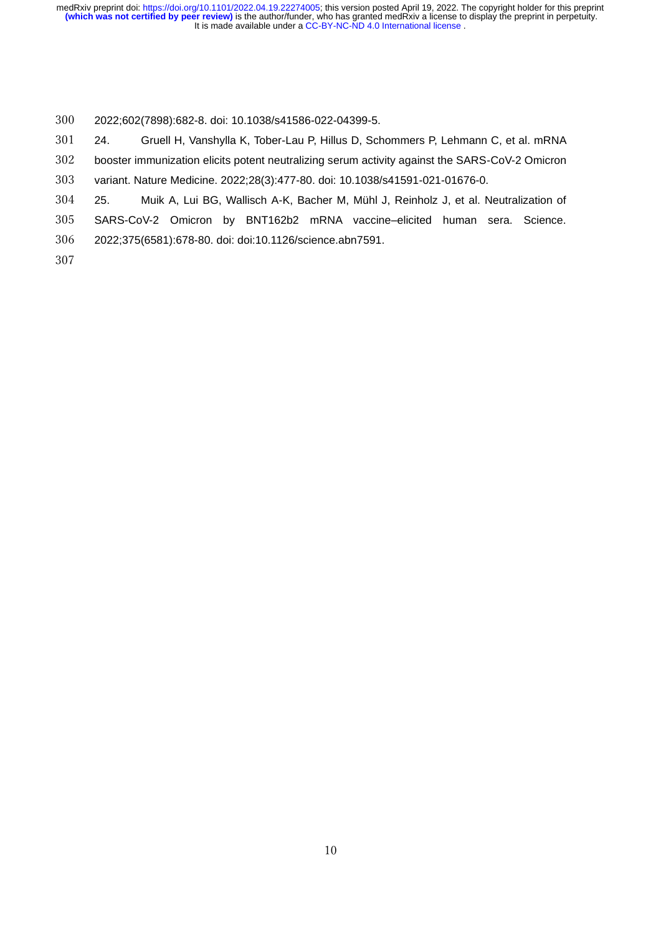2022;602(7898):682-8. doi: 10.1038/s41586-022-04399-5.

24. Gruell H, Vanshylla K, Tober-Lau P, Hillus D, Schommers P, Lehmann C, et al. mRNA

booster immunization elicits potent neutralizing serum activity against the SARS-CoV-2 Omicron

variant. Nature Medicine. 2022;28(3):477-80. doi: 10.1038/s41591-021-01676-0.

25. Muik A, Lui BG, Wallisch A-K, Bacher M, Mühl J, Reinholz J, et al. Neutralization of

 SARS-CoV-2 Omicron by BNT162b2 mRNA vaccine–elicited human sera. Science. 2022;375(6581):678-80. doi: doi:10.1126/science.abn7591.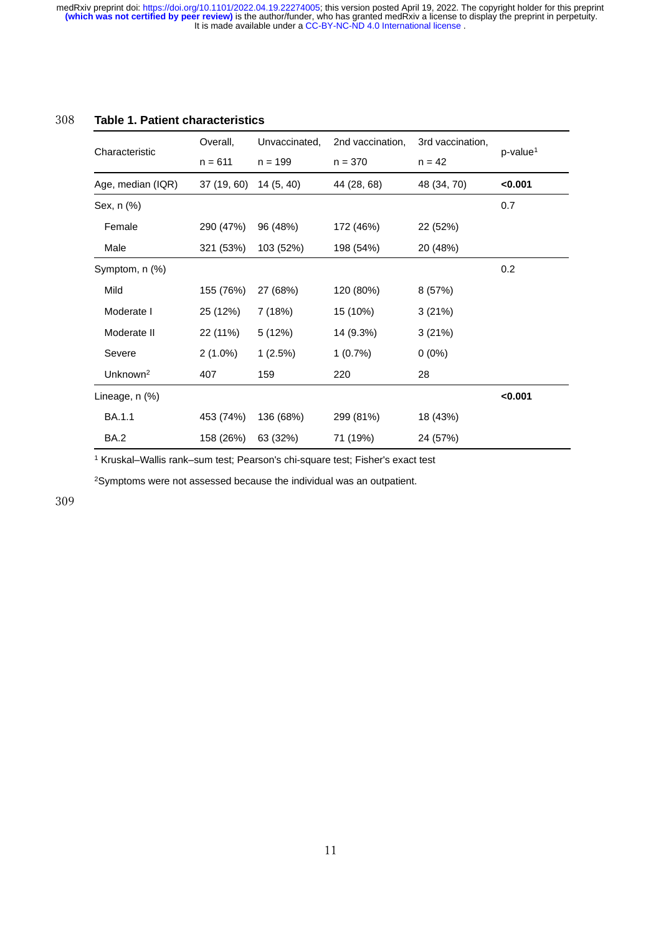| 308<br><b>Table 1. Patient characteristics</b> |  |
|------------------------------------------------|--|
|------------------------------------------------|--|

| Characteristic       | Overall,    | Unvaccinated, | 2nd vaccination, | 3rd vaccination, | $p$ -value <sup>1</sup> |
|----------------------|-------------|---------------|------------------|------------------|-------------------------|
|                      | $n = 611$   | $n = 199$     | $n = 370$        | $n = 42$         |                         |
| Age, median (IQR)    | 37 (19, 60) | 14(5, 40)     | 44 (28, 68)      | 48 (34, 70)      | < 0.001                 |
| Sex, n (%)           |             |               |                  |                  | 0.7                     |
| Female               | 290 (47%)   | 96 (48%)      | 172 (46%)        | 22 (52%)         |                         |
| Male                 | 321 (53%)   | 103 (52%)     | 198 (54%)        | 20 (48%)         |                         |
| Symptom, n (%)       |             |               |                  |                  | 0.2                     |
| Mild                 | 155 (76%)   | 27 (68%)      | 120 (80%)        | 8 (57%)          |                         |
| Moderate I           | 25 (12%)    | 7 (18%)       | 15 (10%)         | 3(21%)           |                         |
| Moderate II          | 22 (11%)    | 5 (12%)       | 14 (9.3%)        | 3(21%)           |                         |
| Severe               | $2(1.0\%)$  | 1(2.5%)       | 1(0.7%)          | $0(0\%)$         |                         |
| Unknown <sup>2</sup> | 407         | 159           | 220              | 28               |                         |
| Lineage, $n$ $%$     |             |               |                  |                  | < 0.001                 |
| <b>BA.1.1</b>        | 453 (74%)   | 136 (68%)     | 299 (81%)        | 18 (43%)         |                         |
| <b>BA.2</b>          | 158 (26%)   | 63 (32%)      | 71 (19%)         | 24 (57%)         |                         |

<sup>1</sup> Kruskal–Wallis rank–sum test; Pearson's chi-square test; Fisher's exact test

<sup>2</sup>Symptoms were not assessed because the individual was an outpatient.